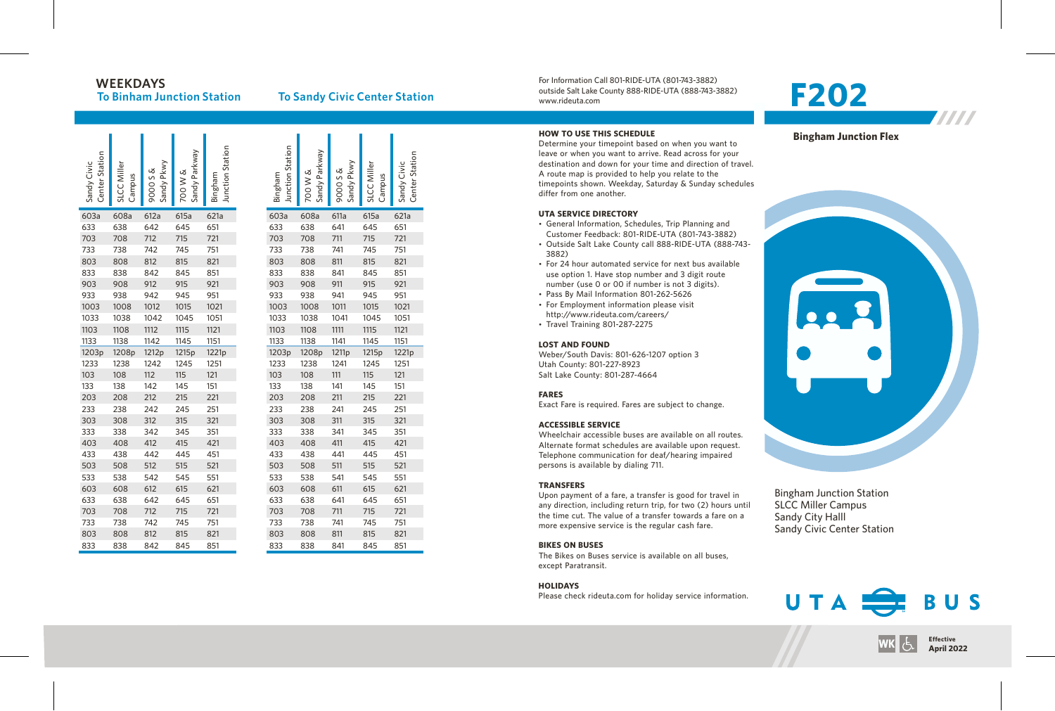## **W E E K D AY S**

**To Binham Junction Station** 

### **To Sandy Civic Center Station**

| <b>Center Station</b><br>Sandy Civic | SLCC Miller<br>Campus | Sandy Pkwy<br>9000 S & | Sandy Parkway<br>700 W & | Junction Station<br>Bingham | Junction Station<br>Bingham | Sandy Parkway<br>700 W & | Sandy Pkwy<br>9000 S & | SLCC Miller<br>Campus | Center Station<br>Sandy Civic |
|--------------------------------------|-----------------------|------------------------|--------------------------|-----------------------------|-----------------------------|--------------------------|------------------------|-----------------------|-------------------------------|
| 603a                                 | 608a                  | 612a                   | 615a                     | 621a                        | 603a                        | 608a                     | 611a                   | 615a                  | 621a                          |
| 633                                  | 638                   | 642                    | 645                      | 651                         | 633                         | 638                      | 641                    | 645                   | 651                           |
| 703                                  | 708                   | 712                    | 715                      | 721                         | 703                         | 708                      | 711                    | 715                   | 721                           |
| 733                                  | 738                   | 742                    | 745                      | 751                         | 733                         | 738                      | 741                    | 745                   | 751                           |
| 803                                  | 808                   | 812                    | 815                      | 821                         | 803                         | 808                      | 811                    | 815                   | 821                           |
| 833                                  | 838                   | 842                    | 845                      | 851                         | 833                         | 838                      | 841                    | 845                   | 851                           |
| 903                                  | 908                   | 912                    | 915                      | 921                         | 903                         | 908                      | 911                    | 915                   | 921                           |
| 933                                  | 938                   | 942                    | 945                      | 951                         | 933                         | 938                      | 941                    | 945                   | 951                           |
| 1003                                 | 1008                  | 1012                   | 1015                     | 1021                        | 1003                        | 1008                     | 1011                   | 1015                  | 1021                          |
| 1033                                 | 1038                  | 1042                   | 1045                     | 1051                        | 1033                        | 1038                     | 1041                   | 1045                  | 1051                          |
| 1103                                 | 1108                  | 1112                   | 1115                     | 1121                        | 1103                        | 1108                     | 1111                   | 1115                  | 1121                          |
| 1133                                 | 1138                  | 1142                   | 1145                     | 1151                        | 1133                        | 1138                     | 1141                   | 1145                  | 1151                          |
| 1203p                                | 1208p                 | 1212p                  | 1215p                    | 1221p                       | 1203p                       | 1208p                    | 1211p                  | 1215p                 | 1221p                         |
| 1233                                 | 1238                  | 1242                   | 1245                     | 1251                        | 1233                        | 1238                     | 1241                   | 1245                  | 1251                          |
| 103                                  | 108                   | 112                    | 115                      | 121                         | 103                         | 108                      | 111                    | 115                   | 121                           |
| 133                                  | 138                   | 142                    | 145                      | 151                         | 133                         | 138                      | 141                    | 145                   | 151                           |
| 203                                  | 208                   | 212                    | 215                      | 221                         | 203                         | 208                      | 211                    | 215                   | 221                           |
| 233                                  | 238                   | 242                    | 245                      | 251                         | 233                         | 238                      | 241                    | 245                   | 251                           |
| 303                                  | 308                   | 312                    | 315                      | 321                         | 303                         | 308                      | 311                    | 315                   | 321                           |
| 333                                  | 338                   | 342                    | 345                      | 351                         | 333                         | 338                      | 341                    | 345                   | 351                           |
| 403                                  | 408                   | 412                    | 415                      | 421                         | 403                         | 408                      | 411                    | 415                   | 421                           |
| 433                                  | 438                   | 442                    | 445                      | 451                         | 433                         | 438                      | 441                    | 445                   | 451                           |
| 503                                  | 508                   | 512                    | 515                      | 521                         | 503                         | 508                      | 511                    | 515                   | 521                           |
| 533                                  | 538                   | 542                    | 545                      | 551                         | 533                         | 538                      | 541                    | 545                   | 551                           |
| 603                                  | 608                   | 612                    | 615                      | 621                         | 603                         | 608                      | 611                    | 615                   | 621                           |
| 633                                  | 638                   | 642                    | 645                      | 651                         | 633                         | 638                      | 641                    | 645                   | 651                           |
| 703                                  | 708                   | 712                    | 715                      | 721                         | 703                         | 708                      | 711                    | 715                   | 721                           |
| 733                                  | 738                   | 742                    | 745                      | 751                         | 733                         | 738                      | 741                    | 745                   | 751                           |
| 803                                  | 808                   | 812                    | 815                      | 821                         | 803                         | 808                      | 811                    | 815                   | 821                           |
| 833                                  | 838                   | 842                    | 845                      | 851                         | 833                         | 838                      | 841                    | 845                   | 851                           |

For Information Call 801-RIDE-UTA (801-743-3882) outside Salt Lake County 888-RIDE-UTA (888-743-3882) www.rideuta. com

#### **HOW TO USE THIS SCHEDULE**

Determine your timepoint based on when you want leave or when you want to arrive. Read across for your destination and down for your time and direction of travel. A route map is provided to help you relate to the timepoints shown. Weekday, Saturday & Sunday schedules differ from one another.

#### **UTA SERVICE DIRECTO RY**

- General Information, Schedules, Trip Planning and Customer Feedback: 801-RIDE-UTA (801-743-3882)
- Outside Salt Lake County call 888-RIDE-UTA (888-743-3 8 8 2 )
- For 24 hour automated service for next bus available use option 1. Have stop number and 3 digit route number (use 0 or 00 if number is not 3 digits).
- Pass By Mail Information 801-262-5626
- For Employment information please visit http://www.rideuta.com/careers/
- $\cdot$  Travel Training 801-287-2275
- 

#### **LOST AND FOUND**

Weber/South Davis: 801-626-1207 option 3 Utah County: 801-227-8923 Salt Lake County: 801-287-4664

#### **FARES**

Exact Fare is required. Fares are subject to change.

#### **ACCESSIBLE SERVICE**

Wheelchair accessible buses are available on all routes. Alternate format schedules are available upon request. Telephone communication for deaf/hearing impaired persons is available by dialing 711.

#### **TRANSFERS**

Upon payment of a fare, a transfer is good for travel in<br>any direction, including return trip, for two (2) hours until the time cut. The value of a transfer towards a fare on a more expensive service is the regular cash fare.

#### **BIKES ON BUSES**

The Bikes on Buses service is available on all buses, except Paratransit.

#### **HOLIDAYS**

Please check rideuta.com for holiday service informatio

# **2 0 2**

**Bingham Junction Flex** 



Bingham Junction Station SL CC Miller Campus Sandy City Halll<br>Sandy Civic Center Station





7777